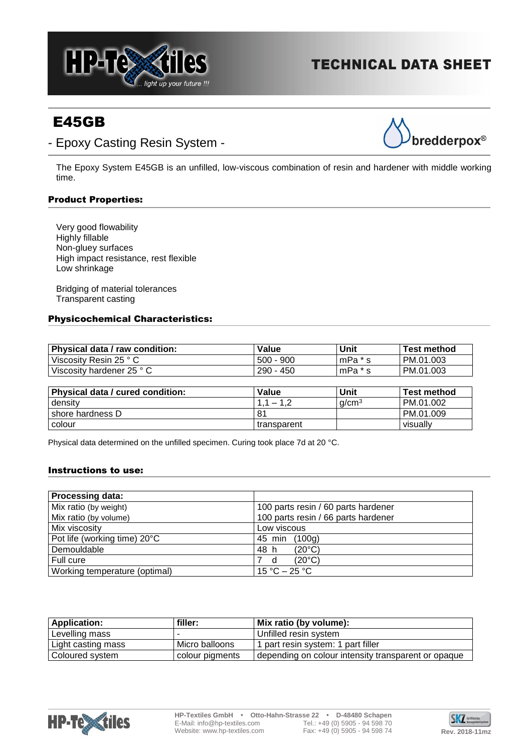

# **TECHNICAL DATA SHEET**

# E45GB





The Epoxy System E45GB is an unfilled, low-viscous combination of resin and hardener with middle working time.

## Product Properties:

Very good flowability Highly fillable Non-gluey surfaces High impact resistance, rest flexible Low shrinkage

Bridging of material tolerances Transparent casting

### Physicochemical Characteristics:

| Physical data / raw condition: | Value       | Unit    | <b>Test method</b> |
|--------------------------------|-------------|---------|--------------------|
| Viscosity Resin 25 °C          | $500 - 900$ | mPa * s | PM.01.003          |
| Viscosity hardener 25 ° C      | 290 - 450   | mPa * s | PM.01.003          |

| <b>Physical data / cured condition:</b> | Value       | Unit              | Test method |
|-----------------------------------------|-------------|-------------------|-------------|
| density                                 | $1.1 - 1$   | a/cm <sup>3</sup> | PM.01.002   |
| shore hardness D                        |             |                   | PM.01.009   |
| colour                                  | transparent |                   | visually    |

Physical data determined on the unfilled specimen. Curing took place 7d at 20 °C.

#### Instructions to use:

| <b>Processing data:</b>       |                                     |
|-------------------------------|-------------------------------------|
| Mix ratio (by weight)         | 100 parts resin / 60 parts hardener |
| Mix ratio (by volume)         | 100 parts resin / 66 parts hardener |
| Mix viscosity                 | Low viscous                         |
| Pot life (working time) 20°C  | (100g)<br>45 min                    |
| Demouldable                   | 48 h<br>$(20^{\circ}C)$             |
| Full cure                     | $(20^{\circ}C)$<br>d                |
| Working temperature (optimal) | $15 °C - 25 °C$                     |

| <b>Application:</b> | filler:         | Mix ratio (by volume):                              |
|---------------------|-----------------|-----------------------------------------------------|
| Levelling mass      |                 | Unfilled resin system                               |
| Light casting mass  | Micro balloons  | 1 part resin system: 1 part filler                  |
| Coloured system     | colour pigments | depending on colour intensity transparent or opaque |